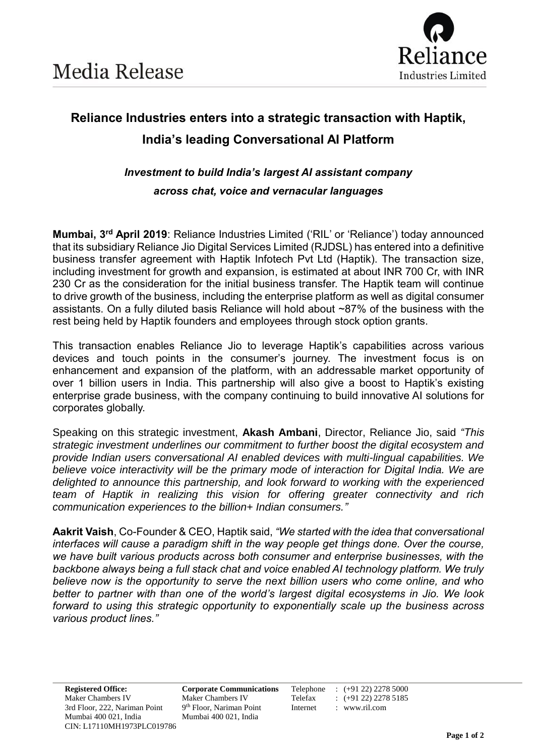

# **Reliance Industries enters into a strategic transaction with Haptik, India's leading Conversational AI Platform**

## *Investment to build India's largest AI assistant company across chat, voice and vernacular languages*

**Mumbai, 3 rd April 2019**: Reliance Industries Limited ('RIL' or 'Reliance') today announced that its subsidiary Reliance Jio Digital Services Limited (RJDSL) has entered into a definitive business transfer agreement with Haptik Infotech Pvt Ltd (Haptik). The transaction size, including investment for growth and expansion, is estimated at about INR 700 Cr, with INR 230 Cr as the consideration for the initial business transfer. The Haptik team will continue to drive growth of the business, including the enterprise platform as well as digital consumer assistants. On a fully diluted basis Reliance will hold about ~87% of the business with the rest being held by Haptik founders and employees through stock option grants.

This transaction enables Reliance Jio to leverage Haptik's capabilities across various devices and touch points in the consumer's journey. The investment focus is on enhancement and expansion of the platform, with an addressable market opportunity of over 1 billion users in India. This partnership will also give a boost to Haptik's existing enterprise grade business, with the company continuing to build innovative AI solutions for corporates globally.

Speaking on this strategic investment, **Akash Ambani**, Director, Reliance Jio, said *"This strategic investment underlines our commitment to further boost the digital ecosystem and provide Indian users conversational AI enabled devices with multi-lingual capabilities. We believe voice interactivity will be the primary mode of interaction for Digital India. We are delighted to announce this partnership, and look forward to working with the experienced team of Haptik in realizing this vision for offering greater connectivity and rich communication experiences to the billion+ Indian consumers."*

**Aakrit Vaish**, Co-Founder & CEO, Haptik said, *"We started with the idea that conversational interfaces will cause a paradigm shift in the way people get things done. Over the course, we have built various products across both consumer and enterprise businesses, with the backbone always being a full stack chat and voice enabled AI technology platform. We truly believe now is the opportunity to serve the next billion users who come online, and who better to partner with than one of the world's largest digital ecosystems in Jio. We look forward to using this strategic opportunity to exponentially scale up the business across various product lines."* 

**Registered Office: Corporate Communications** Telephone : (+91 22) 2278 5000